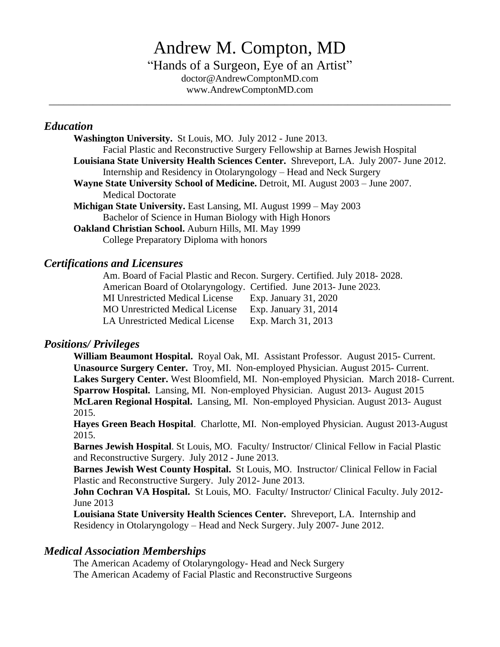# Andrew M. Compton, MD

"Hands of a Surgeon, Eye of an Artist" doctor@AndrewComptonMD.com www.AndrewComptonMD.com

\_\_\_\_\_\_\_\_\_\_\_\_\_\_\_\_\_\_\_\_\_\_\_\_\_\_\_\_\_\_\_\_\_\_\_\_\_\_\_\_\_\_\_\_\_\_\_\_\_\_\_\_\_\_\_\_\_\_\_\_\_\_\_\_\_\_\_\_\_\_\_\_\_\_\_\_\_\_\_\_\_\_

#### *Education*

**Washington University.** St Louis, MO. July 2012 - June 2013. Facial Plastic and Reconstructive Surgery Fellowship at Barnes Jewish Hospital **Louisiana State University Health Sciences Center.** Shreveport, LA. July 2007- June 2012. Internship and Residency in Otolaryngology – Head and Neck Surgery **Wayne State University School of Medicine.** Detroit, MI. August 2003 – June 2007. Medical Doctorate **Michigan State University.** East Lansing, MI. August 1999 – May 2003 Bachelor of Science in Human Biology with High Honors **Oakland Christian School.** Auburn Hills, MI. May 1999 College Preparatory Diploma with honors

## *Certifications and Licensures*

Am. Board of Facial Plastic and Recon. Surgery. Certified. July 2018- 2028. American Board of Otolaryngology. Certified. June 2013- June 2023. MI Unrestricted Medical License Exp. January 31, 2020 MO Unrestricted Medical License Exp. January 31, 2014 LA Unrestricted Medical License Exp. March 31, 2013

#### *Positions/ Privileges*

**William Beaumont Hospital.** Royal Oak, MI. Assistant Professor. August 2015- Current. **Unasource Surgery Center.** Troy, MI. Non-employed Physician. August 2015- Current. **Lakes Surgery Center.** West Bloomfield, MI.Non-employed Physician. March 2018- Current. **Sparrow Hospital.** Lansing, MI. Non-employed Physician. August 2013- August 2015 **McLaren Regional Hospital.** Lansing, MI. Non-employed Physician. August 2013- August 2015.

**Hayes Green Beach Hospital**. Charlotte, MI. Non-employed Physician. August 2013-August 2015.

**Barnes Jewish Hospital**. St Louis, MO. Faculty/ Instructor/ Clinical Fellow in Facial Plastic and Reconstructive Surgery. July 2012 - June 2013.

**Barnes Jewish West County Hospital.** St Louis, MO. Instructor/ Clinical Fellow in Facial Plastic and Reconstructive Surgery. July 2012- June 2013.

**John Cochran VA Hospital.** St Louis, MO. Faculty/ Instructor/ Clinical Faculty. July 2012-June 2013

**Louisiana State University Health Sciences Center.** Shreveport, LA. Internship and Residency in Otolaryngology – Head and Neck Surgery. July 2007- June 2012.

#### *Medical Association Memberships*

The American Academy of Otolaryngology- Head and Neck Surgery The American Academy of Facial Plastic and Reconstructive Surgeons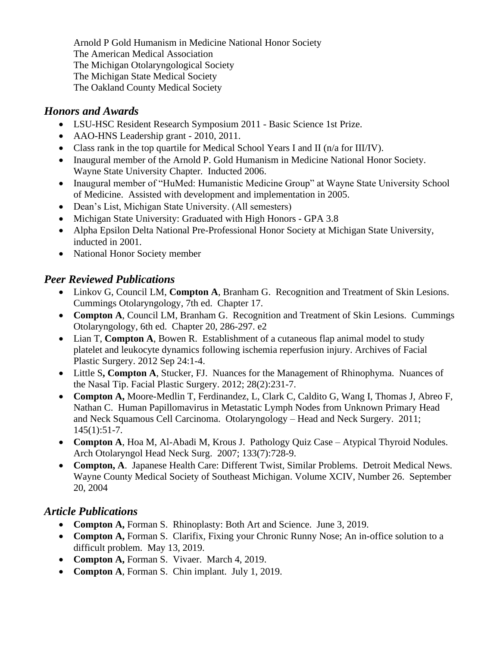Arnold P Gold Humanism in Medicine National Honor Society The American Medical Association The Michigan Otolaryngological Society The Michigan State Medical Society The Oakland County Medical Society

# *Honors and Awards*

- LSU-HSC Resident Research Symposium 2011 Basic Science 1st Prize.
- AAO-HNS Leadership grant 2010, 2011.
- Class rank in the top quartile for Medical School Years I and II (n/a for III/IV).
- Inaugural member of the Arnold P. Gold Humanism in Medicine National Honor Society. Wayne State University Chapter. Inducted 2006.
- Inaugural member of "HuMed: Humanistic Medicine Group" at Wayne State University School of Medicine. Assisted with development and implementation in 2005.
- Dean's List, Michigan State University. (All semesters)
- Michigan State University: Graduated with High Honors GPA 3.8
- Alpha Epsilon Delta National Pre-Professional Honor Society at Michigan State University, inducted in 2001.
- National Honor Society member

# *Peer Reviewed Publications*

- Linkov G, Council LM, **Compton A**, Branham G. Recognition and Treatment of Skin Lesions. Cummings Otolaryngology, 7th ed. Chapter 17.
- **Compton A**, Council LM, Branham G. Recognition and Treatment of Skin Lesions. Cummings Otolaryngology, 6th ed. Chapter 20, 286-297. e2
- Lian T, **Compton A**, Bowen R. Establishment of a cutaneous flap animal model to study platelet and leukocyte dynamics following ischemia reperfusion injury. Archives of Facial Plastic Surgery. 2012 Sep 24:1-4.
- Little S**, Compton A**, Stucker, FJ. Nuances for the Management of Rhinophyma. Nuances of the Nasal Tip. Facial Plastic Surgery. 2012; 28(2):231-7.
- **Compton A,** Moore-Medlin T, Ferdinandez, L, Clark C, Caldito G, Wang I, Thomas J, Abreo F, Nathan C. Human Papillomavirus in Metastatic Lymph Nodes from Unknown Primary Head and Neck Squamous Cell Carcinoma. Otolaryngology – Head and Neck Surgery. 2011; 145(1):51-7.
- **Compton A**, Hoa M, Al-Abadi M, Krous J. Pathology Quiz Case Atypical Thyroid Nodules. Arch Otolaryngol Head Neck Surg. 2007; 133(7):728-9.
- **Compton, A**. Japanese Health Care: Different Twist, Similar Problems. Detroit Medical News. Wayne County Medical Society of Southeast Michigan. Volume XCIV, Number 26. September 20, 2004

## *Article Publications*

- **Compton A,** Forman S. Rhinoplasty: Both Art and Science. June 3, 2019.
- **Compton A,** Forman S. Clarifix, Fixing your Chronic Runny Nose; An in-office solution to a difficult problem. May 13, 2019.
- **Compton A,** Forman S. Vivaer. March 4, 2019.
- **Compton A**, Forman S. Chin implant. July 1, 2019.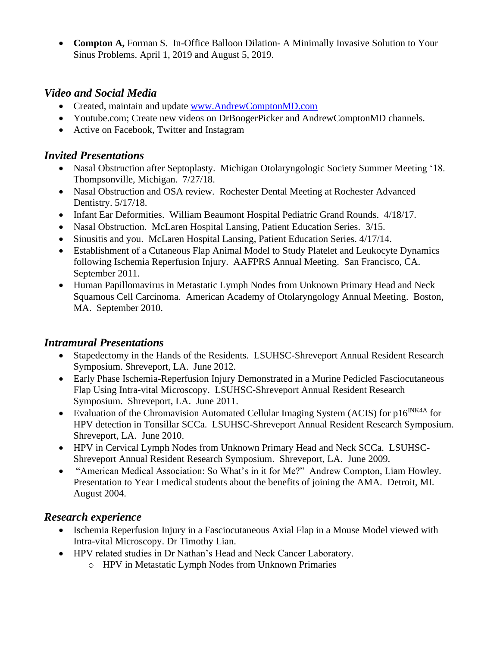• **Compton A,** Forman S. In-Office Balloon Dilation- A Minimally Invasive Solution to Your Sinus Problems. April 1, 2019 and August 5, 2019.

## *Video and Social Media*

- Created, maintain and update [www.AndrewComptonMD.com](http://www.andrewcomptonmd.com/)
- Youtube.com; Create new videos on DrBoogerPicker and AndrewComptonMD channels.
- Active on Facebook, Twitter and Instagram

# *Invited Presentations*

- Nasal Obstruction after Septoplasty. Michigan Otolaryngologic Society Summer Meeting '18. Thompsonville, Michigan. 7/27/18.
- Nasal Obstruction and OSA review. Rochester Dental Meeting at Rochester Advanced Dentistry. 5/17/18.
- Infant Ear Deformities. William Beaumont Hospital Pediatric Grand Rounds. 4/18/17.
- Nasal Obstruction. McLaren Hospital Lansing, Patient Education Series. 3/15.
- Sinusitis and you. McLaren Hospital Lansing, Patient Education Series. 4/17/14.
- Establishment of a Cutaneous Flap Animal Model to Study Platelet and Leukocyte Dynamics following Ischemia Reperfusion Injury. AAFPRS Annual Meeting. San Francisco, CA. September 2011.
- Human Papillomavirus in Metastatic Lymph Nodes from Unknown Primary Head and Neck Squamous Cell Carcinoma. American Academy of Otolaryngology Annual Meeting. Boston, MA. September 2010.

## *Intramural Presentations*

- Stapedectomy in the Hands of the Residents. LSUHSC-Shreveport Annual Resident Research Symposium. Shreveport, LA. June 2012.
- Early Phase Ischemia-Reperfusion Injury Demonstrated in a Murine Pedicled Fasciocutaneous Flap Using Intra-vital Microscopy. LSUHSC-Shreveport Annual Resident Research Symposium. Shreveport, LA. June 2011.
- Evaluation of the Chromavision Automated Cellular Imaging System (ACIS) for  $p16^{INK4A}$  for HPV detection in Tonsillar SCCa. LSUHSC-Shreveport Annual Resident Research Symposium. Shreveport, LA. June 2010.
- HPV in Cervical Lymph Nodes from Unknown Primary Head and Neck SCCa. LSUHSC-Shreveport Annual Resident Research Symposium. Shreveport, LA. June 2009.
- "American Medical Association: So What's in it for Me?" Andrew Compton, Liam Howley. Presentation to Year I medical students about the benefits of joining the AMA. Detroit, MI. August 2004.

## *Research experience*

- Ischemia Reperfusion Injury in a Fasciocutaneous Axial Flap in a Mouse Model viewed with Intra-vital Microscopy. Dr Timothy Lian.
- HPV related studies in Dr Nathan's Head and Neck Cancer Laboratory.
	- o HPV in Metastatic Lymph Nodes from Unknown Primaries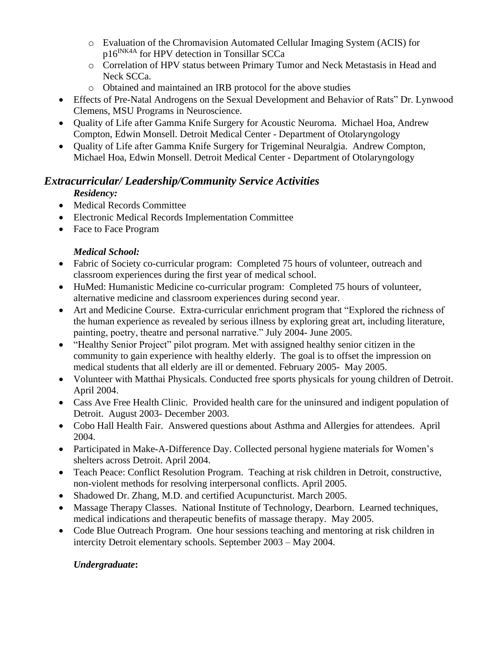- o Evaluation of the Chromavision Automated Cellular Imaging System (ACIS) for  $p16^{INK4A}$  for HPV detection in Tonsillar SCCa
- o Correlation of HPV status between Primary Tumor and Neck Metastasis in Head and Neck SCCa.
- o Obtained and maintained an IRB protocol for the above studies
- Effects of Pre-Natal Androgens on the Sexual Development and Behavior of Rats" Dr. Lynwood Clemens, MSU Programs in Neuroscience.
- Quality of Life after Gamma Knife Surgery for Acoustic Neuroma. Michael Hoa, Andrew Compton, Edwin Monsell. Detroit Medical Center - Department of Otolaryngology
- Quality of Life after Gamma Knife Surgery for Trigeminal Neuralgia. Andrew Compton, Michael Hoa, Edwin Monsell. Detroit Medical Center - Department of Otolaryngology

# *Extracurricular/ Leadership/Community Service Activities*

## *Residency:*

- Medical Records Committee
- Electronic Medical Records Implementation Committee
- Face to Face Program

## *Medical School:*

- Fabric of Society co-curricular program: Completed 75 hours of volunteer, outreach and classroom experiences during the first year of medical school.
- HuMed: Humanistic Medicine co-curricular program: Completed 75 hours of volunteer, alternative medicine and classroom experiences during second year.
- Art and Medicine Course. Extra-curricular enrichment program that "Explored the richness of the human experience as revealed by serious illness by exploring great art, including literature, painting, poetry, theatre and personal narrative." July 2004- June 2005.
- "Healthy Senior Project" pilot program. Met with assigned healthy senior citizen in the community to gain experience with healthy elderly. The goal is to offset the impression on medical students that all elderly are ill or demented. February 2005- May 2005.
- Volunteer with Matthai Physicals. Conducted free sports physicals for young children of Detroit. April 2004.
- Cass Ave Free Health Clinic. Provided health care for the uninsured and indigent population of Detroit. August 2003- December 2003.
- Cobo Hall Health Fair. Answered questions about Asthma and Allergies for attendees. April 2004.
- Participated in Make-A-Difference Day. Collected personal hygiene materials for Women's shelters across Detroit. April 2004.
- Teach Peace: Conflict Resolution Program. Teaching at risk children in Detroit, constructive, non-violent methods for resolving interpersonal conflicts. April 2005.
- Shadowed Dr. Zhang, M.D. and certified Acupuncturist. March 2005.
- Massage Therapy Classes. National Institute of Technology, Dearborn. Learned techniques, medical indications and therapeutic benefits of massage therapy. May 2005.
- Code Blue Outreach Program. One hour sessions teaching and mentoring at risk children in intercity Detroit elementary schools. September 2003 – May 2004.

#### *Undergraduate***:**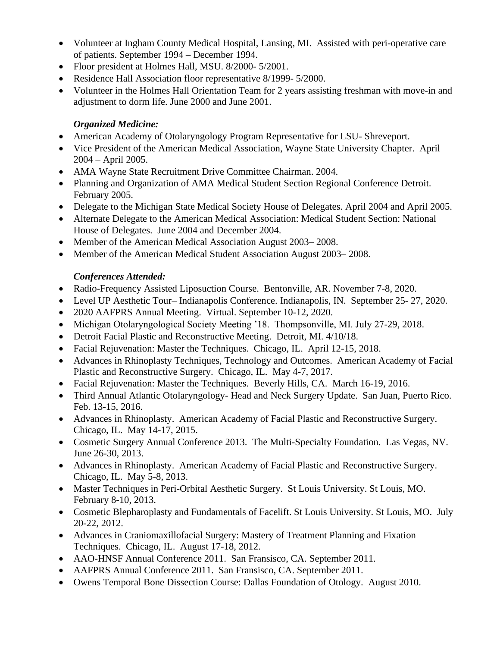- Volunteer at Ingham County Medical Hospital, Lansing, MI. Assisted with peri-operative care of patients. September 1994 – December 1994.
- Floor president at Holmes Hall, MSU. 8/2000- 5/2001.
- Residence Hall Association floor representative 8/1999-5/2000.
- Volunteer in the Holmes Hall Orientation Team for 2 years assisting freshman with move-in and adjustment to dorm life. June 2000 and June 2001.

#### *Organized Medicine:*

- American Academy of Otolaryngology Program Representative for LSU- Shreveport.
- Vice President of the American Medical Association, Wayne State University Chapter. April 2004 – April 2005.
- AMA Wayne State Recruitment Drive Committee Chairman. 2004.
- Planning and Organization of AMA Medical Student Section Regional Conference Detroit. February 2005.
- Delegate to the Michigan State Medical Society House of Delegates. April 2004 and April 2005.
- Alternate Delegate to the American Medical Association: Medical Student Section: National House of Delegates. June 2004 and December 2004.
- Member of the American Medical Association August 2003–2008.
- Member of the American Medical Student Association August 2003–2008.

#### *Conferences Attended:*

- Radio-Frequency Assisted Liposuction Course. Bentonville, AR. November 7-8, 2020.
- Level UP Aesthetic Tour– Indianapolis Conference. Indianapolis, IN. September 25- 27, 2020.
- 2020 AAFPRS Annual Meeting. Virtual. September 10-12, 2020.
- Michigan Otolaryngological Society Meeting '18. Thompsonville, MI. July 27-29, 2018.
- Detroit Facial Plastic and Reconstructive Meeting. Detroit, MI. 4/10/18.
- Facial Rejuvenation: Master the Techniques. Chicago, IL. April 12-15, 2018.
- Advances in Rhinoplasty Techniques, Technology and Outcomes. American Academy of Facial Plastic and Reconstructive Surgery. Chicago, IL. May 4-7, 2017.
- Facial Rejuvenation: Master the Techniques. Beverly Hills, CA. March 16-19, 2016.
- Third Annual Atlantic Otolaryngology- Head and Neck Surgery Update. San Juan, Puerto Rico. Feb. 13-15, 2016.
- Advances in Rhinoplasty. American Academy of Facial Plastic and Reconstructive Surgery. Chicago, IL. May 14-17, 2015.
- Cosmetic Surgery Annual Conference 2013. The Multi-Specialty Foundation. Las Vegas, NV. June 26-30, 2013.
- Advances in Rhinoplasty. American Academy of Facial Plastic and Reconstructive Surgery. Chicago, IL. May 5-8, 2013.
- Master Techniques in Peri-Orbital Aesthetic Surgery. St Louis University. St Louis, MO. February 8-10, 2013.
- Cosmetic Blepharoplasty and Fundamentals of Facelift. St Louis University. St Louis, MO. July 20-22, 2012.
- Advances in Craniomaxillofacial Surgery: Mastery of Treatment Planning and Fixation Techniques. Chicago, IL. August 17-18, 2012.
- AAO-HNSF Annual Conference 2011. San Fransisco, CA. September 2011.
- AAFPRS Annual Conference 2011. San Fransisco, CA. September 2011.
- Owens Temporal Bone Dissection Course: Dallas Foundation of Otology. August 2010.